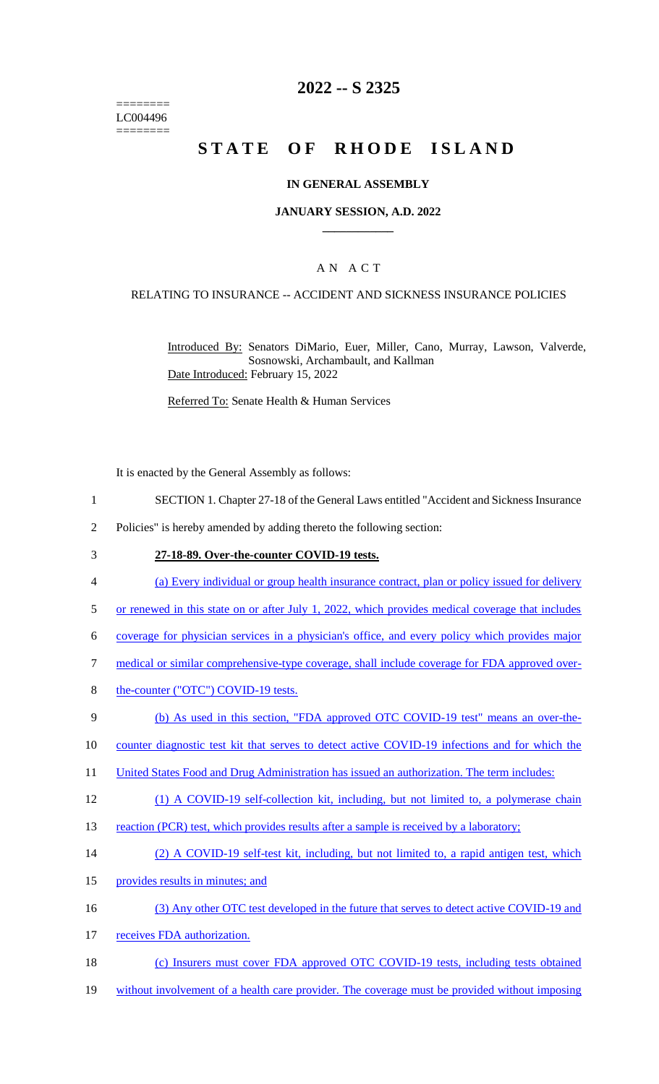======== LC004496 ========

# **2022 -- S 2325**

# **STATE OF RHODE ISLAND**

#### **IN GENERAL ASSEMBLY**

#### **JANUARY SESSION, A.D. 2022 \_\_\_\_\_\_\_\_\_\_\_\_**

### A N A C T

#### RELATING TO INSURANCE -- ACCIDENT AND SICKNESS INSURANCE POLICIES

Introduced By: Senators DiMario, Euer, Miller, Cano, Murray, Lawson, Valverde, Sosnowski, Archambault, and Kallman Date Introduced: February 15, 2022

Referred To: Senate Health & Human Services

It is enacted by the General Assembly as follows:

- 1 SECTION 1. Chapter 27-18 of the General Laws entitled "Accident and Sickness Insurance
- 2 Policies" is hereby amended by adding thereto the following section:
- 3 **27-18-89. Over-the-counter COVID-19 tests.**
- 4 (a) Every individual or group health insurance contract, plan or policy issued for delivery
- 5 or renewed in this state on or after July 1, 2022, which provides medical coverage that includes
- 6 coverage for physician services in a physician's office, and every policy which provides major
- 7 medical or similar comprehensive-type coverage, shall include coverage for FDA approved over-
- 8 the-counter ("OTC") COVID-19 tests.
- 9 (b) As used in this section, "FDA approved OTC COVID-19 test" means an over-the-
- 10 counter diagnostic test kit that serves to detect active COVID-19 infections and for which the
- 11 United States Food and Drug Administration has issued an authorization. The term includes:
- 12 (1) A COVID-19 self-collection kit, including, but not limited to, a polymerase chain
- 13 reaction (PCR) test, which provides results after a sample is received by a laboratory;
- 14 (2) A COVID-19 self-test kit, including, but not limited to, a rapid antigen test, which
- 15 provides results in minutes; and
- 16 (3) Any other OTC test developed in the future that serves to detect active COVID-19 and
- 17 receives FDA authorization.
- 18 (c) Insurers must cover FDA approved OTC COVID-19 tests, including tests obtained
- 19 without involvement of a health care provider. The coverage must be provided without imposing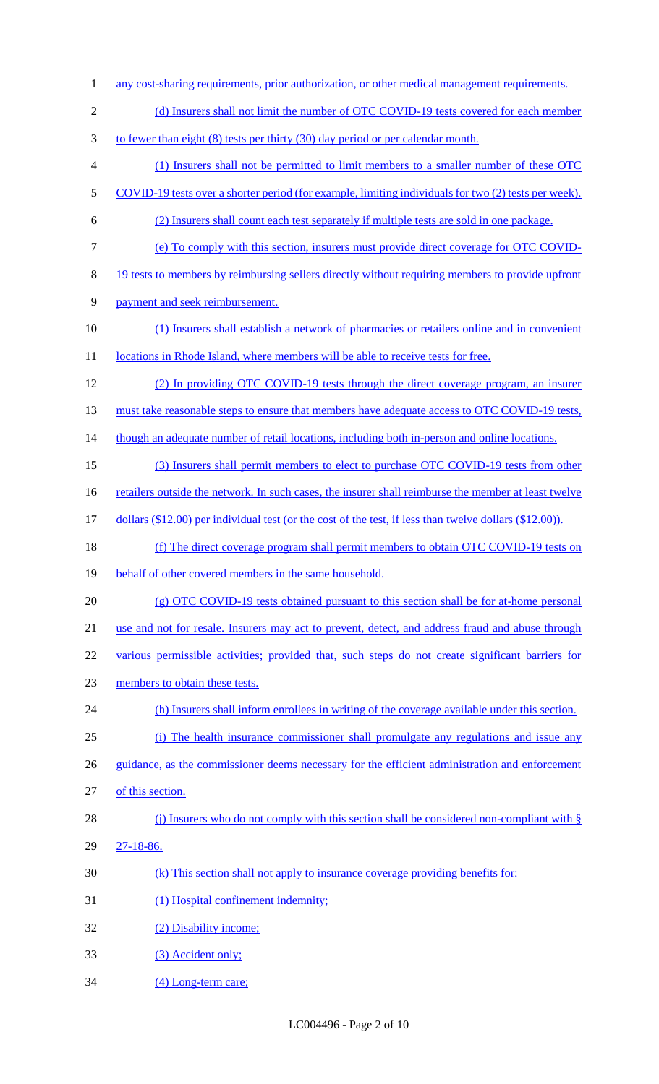1 any cost-sharing requirements, prior authorization, or other medical management requirements. 2 (d) Insurers shall not limit the number of OTC COVID-19 tests covered for each member 3 to fewer than eight (8) tests per thirty (30) day period or per calendar month. 4 (1) Insurers shall not be permitted to limit members to a smaller number of these OTC 5 COVID-19 tests over a shorter period (for example, limiting individuals for two (2) tests per week). 6 (2) Insurers shall count each test separately if multiple tests are sold in one package. 7 (e) To comply with this section, insurers must provide direct coverage for OTC COVID-8 19 tests to members by reimbursing sellers directly without requiring members to provide upfront 9 payment and seek reimbursement. 10 (1) Insurers shall establish a network of pharmacies or retailers online and in convenient 11 locations in Rhode Island, where members will be able to receive tests for free. 12 (2) In providing OTC COVID-19 tests through the direct coverage program, an insurer 13 must take reasonable steps to ensure that members have adequate access to OTC COVID-19 tests, 14 though an adequate number of retail locations, including both in-person and online locations. 15 (3) Insurers shall permit members to elect to purchase OTC COVID-19 tests from other 16 retailers outside the network. In such cases, the insurer shall reimburse the member at least twelve 17 dollars (\$12.00) per individual test (or the cost of the test, if less than twelve dollars (\$12.00)). 18 (f) The direct coverage program shall permit members to obtain OTC COVID-19 tests on 19 behalf of other covered members in the same household. 20 (g) OTC COVID-19 tests obtained pursuant to this section shall be for at-home personal 21 use and not for resale. Insurers may act to prevent, detect, and address fraud and abuse through 22 various permissible activities; provided that, such steps do not create significant barriers for 23 members to obtain these tests. 24 (h) Insurers shall inform enrollees in writing of the coverage available under this section. 25 (i) The health insurance commissioner shall promulgate any regulations and issue any 26 guidance, as the commissioner deems necessary for the efficient administration and enforcement 27 of this section. 28 (j) Insurers who do not comply with this section shall be considered non-compliant with § 29 27-18-86. 30 (k) This section shall not apply to insurance coverage providing benefits for: 31 (1) Hospital confinement indemnity; 32 (2) Disability income; 33 (3) Accident only; 34 (4) Long-term care;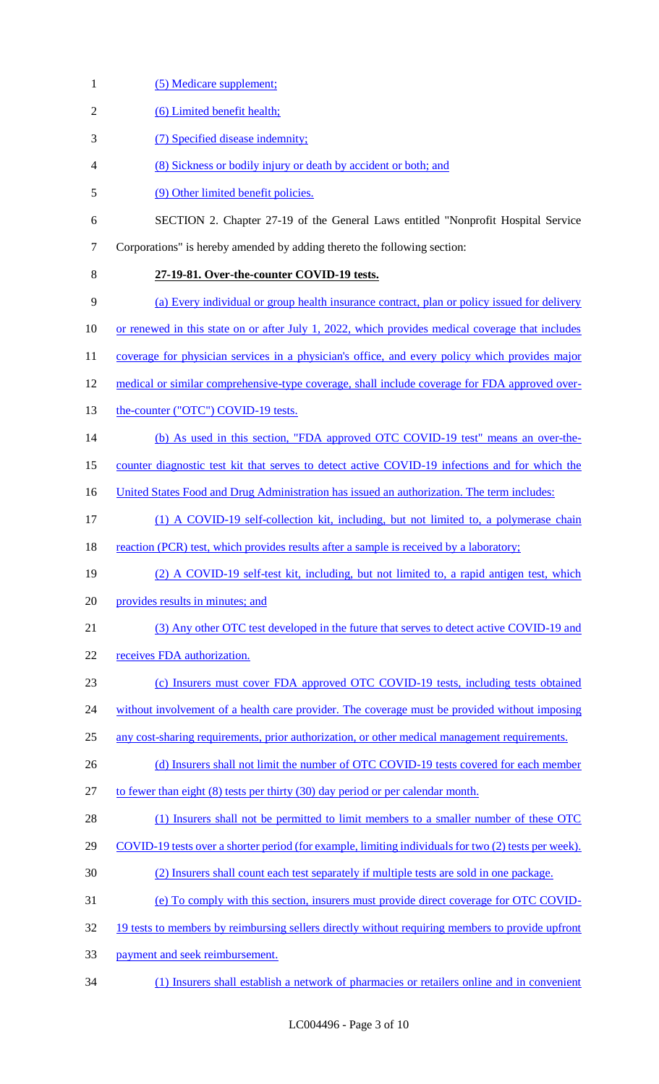1 (5) Medicare supplement; 2 (6) Limited benefit health; (7) Specified disease indemnity; (8) Sickness or bodily injury or death by accident or both; and (9) Other limited benefit policies. SECTION 2. Chapter 27-19 of the General Laws entitled "Nonprofit Hospital Service Corporations" is hereby amended by adding thereto the following section: **27-19-81. Over-the-counter COVID-19 tests.** (a) Every individual or group health insurance contract, plan or policy issued for delivery 10 or renewed in this state on or after July 1, 2022, which provides medical coverage that includes 11 coverage for physician services in a physician's office, and every policy which provides major 12 medical or similar comprehensive-type coverage, shall include coverage for FDA approved over-13 the-counter ("OTC") COVID-19 tests. (b) As used in this section, "FDA approved OTC COVID-19 test" means an over-the- counter diagnostic test kit that serves to detect active COVID-19 infections and for which the 16 United States Food and Drug Administration has issued an authorization. The term includes: (1) A COVID-19 self-collection kit, including, but not limited to, a polymerase chain 18 reaction (PCR) test, which provides results after a sample is received by a laboratory; (2) A COVID-19 self-test kit, including, but not limited to, a rapid antigen test, which provides results in minutes; and (3) Any other OTC test developed in the future that serves to detect active COVID-19 and receives FDA authorization. (c) Insurers must cover FDA approved OTC COVID-19 tests, including tests obtained 24 without involvement of a health care provider. The coverage must be provided without imposing any cost-sharing requirements, prior authorization, or other medical management requirements. 26 (d) Insurers shall not limit the number of OTC COVID-19 tests covered for each member to fewer than eight (8) tests per thirty (30) day period or per calendar month. 28 (1) Insurers shall not be permitted to limit members to a smaller number of these OTC COVID-19 tests over a shorter period (for example, limiting individuals for two (2) tests per week). (2) Insurers shall count each test separately if multiple tests are sold in one package. (e) To comply with this section, insurers must provide direct coverage for OTC COVID-32 19 tests to members by reimbursing sellers directly without requiring members to provide upfront payment and seek reimbursement. (1) Insurers shall establish a network of pharmacies or retailers online and in convenient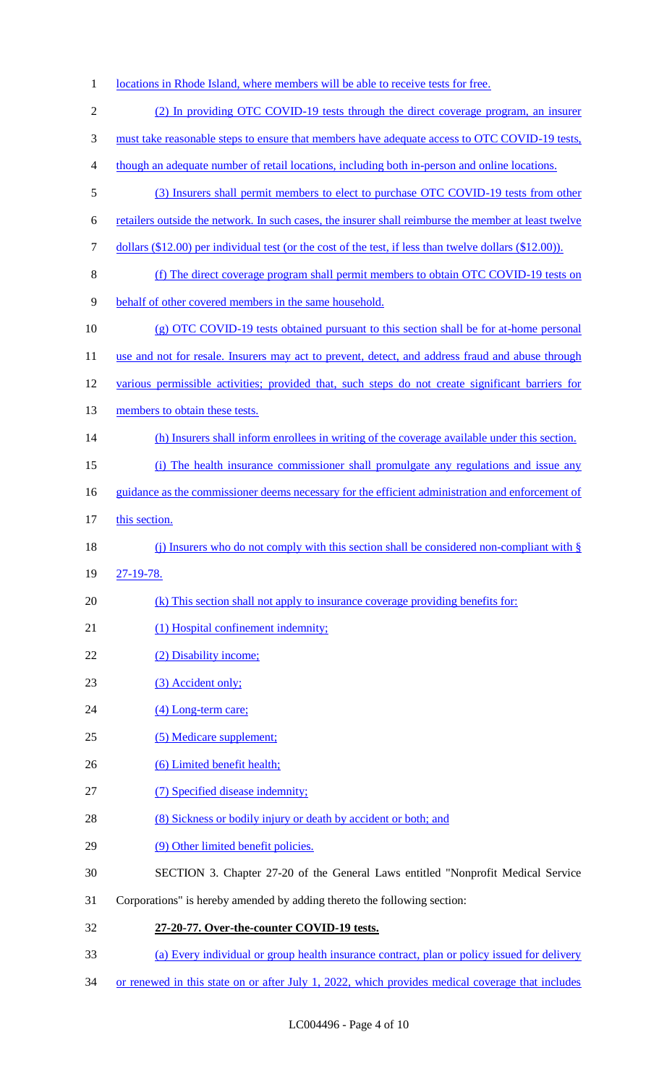| $\mathbf{1}$   | locations in Rhode Island, where members will be able to receive tests for free.                             |
|----------------|--------------------------------------------------------------------------------------------------------------|
| $\overline{2}$ | (2) In providing OTC COVID-19 tests through the direct coverage program, an insurer                          |
| 3              | must take reasonable steps to ensure that members have adequate access to OTC COVID-19 tests,                |
| 4              | though an adequate number of retail locations, including both in-person and online locations.                |
| 5              | (3) Insurers shall permit members to elect to purchase OTC COVID-19 tests from other                         |
| 6              | retailers outside the network. In such cases, the insurer shall reimburse the member at least twelve         |
| 7              | dollars $(\$12.00)$ per individual test (or the cost of the test, if less than twelve dollars $(\$12.00)$ ). |
| $8\,$          | (f) The direct coverage program shall permit members to obtain OTC COVID-19 tests on                         |
| 9              | behalf of other covered members in the same household.                                                       |
| 10             | $(g)$ OTC COVID-19 tests obtained pursuant to this section shall be for at-home personal                     |
| 11             | use and not for resale. Insurers may act to prevent, detect, and address fraud and abuse through             |
| 12             | various permissible activities; provided that, such steps do not create significant barriers for             |
| 13             | members to obtain these tests.                                                                               |
| 14             | (h) Insurers shall inform enrollees in writing of the coverage available under this section.                 |
| 15             | (i) The health insurance commissioner shall promulgate any regulations and issue any                         |
| 16             | guidance as the commissioner deems necessary for the efficient administration and enforcement of             |
| 17             | this section.                                                                                                |
| 18             | (i) Insurers who do not comply with this section shall be considered non-compliant with §                    |
| 19             | 27-19-78.                                                                                                    |
| 20             | (k) This section shall not apply to insurance coverage providing benefits for:                               |
| 21             | (1) Hospital confinement indemnity;                                                                          |
| 22             | (2) Disability income;                                                                                       |
| 23             | (3) Accident only;                                                                                           |
| 24             | (4) Long-term care;                                                                                          |
| 25             | (5) Medicare supplement;                                                                                     |
| 26             | (6) Limited benefit health;                                                                                  |
| 27             | (7) Specified disease indemnity;                                                                             |
| 28             | (8) Sickness or bodily injury or death by accident or both; and                                              |
| 29             | (9) Other limited benefit policies.                                                                          |
| 30             | SECTION 3. Chapter 27-20 of the General Laws entitled "Nonprofit Medical Service                             |
| 31             | Corporations" is hereby amended by adding thereto the following section:                                     |
| 32             | 27-20-77. Over-the-counter COVID-19 tests.                                                                   |
| 33             | (a) Every individual or group health insurance contract, plan or policy issued for delivery                  |

34 or renewed in this state on or after July 1, 2022, which provides medical coverage that includes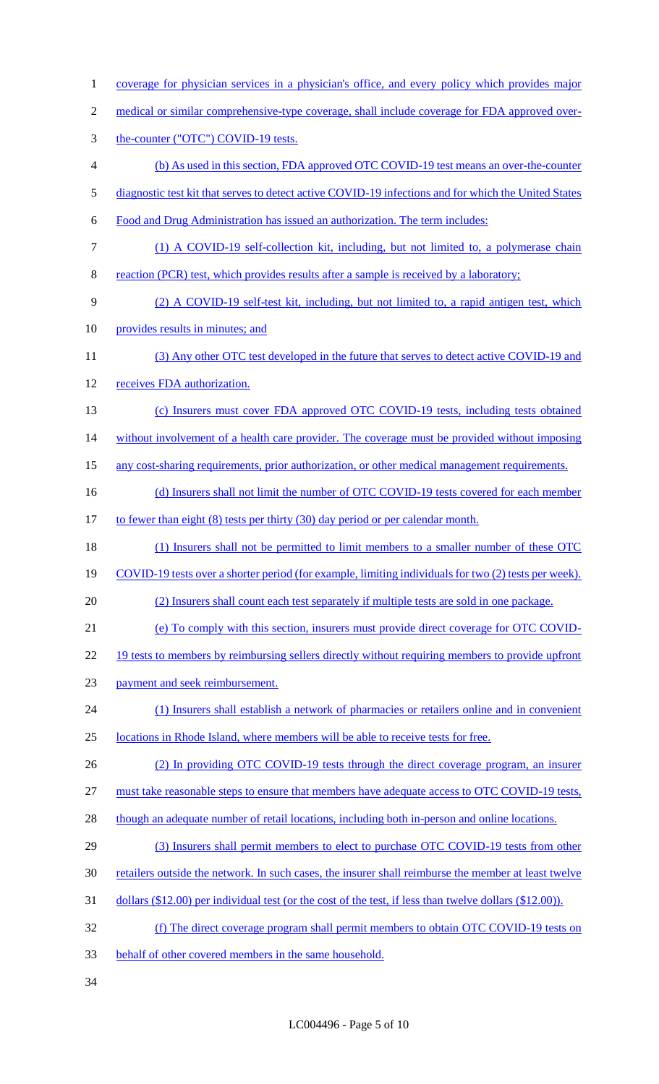- coverage for physician services in a physician's office, and every policy which provides major medical or similar comprehensive-type coverage, shall include coverage for FDA approved over- the-counter ("OTC") COVID-19 tests. (b) As used in this section, FDA approved OTC COVID-19 test means an over-the-counter 5 diagnostic test kit that serves to detect active COVID-19 infections and for which the United States Food and Drug Administration has issued an authorization. The term includes: (1) A COVID-19 self-collection kit, including, but not limited to, a polymerase chain reaction (PCR) test, which provides results after a sample is received by a laboratory; (2) A COVID-19 self-test kit, including, but not limited to, a rapid antigen test, which 10 provides results in minutes; and 11 (3) Any other OTC test developed in the future that serves to detect active COVID-19 and receives FDA authorization. (c) Insurers must cover FDA approved OTC COVID-19 tests, including tests obtained 14 without involvement of a health care provider. The coverage must be provided without imposing any cost-sharing requirements, prior authorization, or other medical management requirements. 16 (d) Insurers shall not limit the number of OTC COVID-19 tests covered for each member 17 to fewer than eight (8) tests per thirty (30) day period or per calendar month. (1) Insurers shall not be permitted to limit members to a smaller number of these OTC COVID-19 tests over a shorter period (for example, limiting individuals for two (2) tests per week). (2) Insurers shall count each test separately if multiple tests are sold in one package. (e) To comply with this section, insurers must provide direct coverage for OTC COVID-22 19 tests to members by reimbursing sellers directly without requiring members to provide upfront payment and seek reimbursement. (1) Insurers shall establish a network of pharmacies or retailers online and in convenient locations in Rhode Island, where members will be able to receive tests for free. (2) In providing OTC COVID-19 tests through the direct coverage program, an insurer 27 must take reasonable steps to ensure that members have adequate access to OTC COVID-19 tests, 28 though an adequate number of retail locations, including both in-person and online locations. (3) Insurers shall permit members to elect to purchase OTC COVID-19 tests from other retailers outside the network. In such cases, the insurer shall reimburse the member at least twelve dollars (\$12.00) per individual test (or the cost of the test, if less than twelve dollars (\$12.00)). (f) The direct coverage program shall permit members to obtain OTC COVID-19 tests on behalf of other covered members in the same household.
-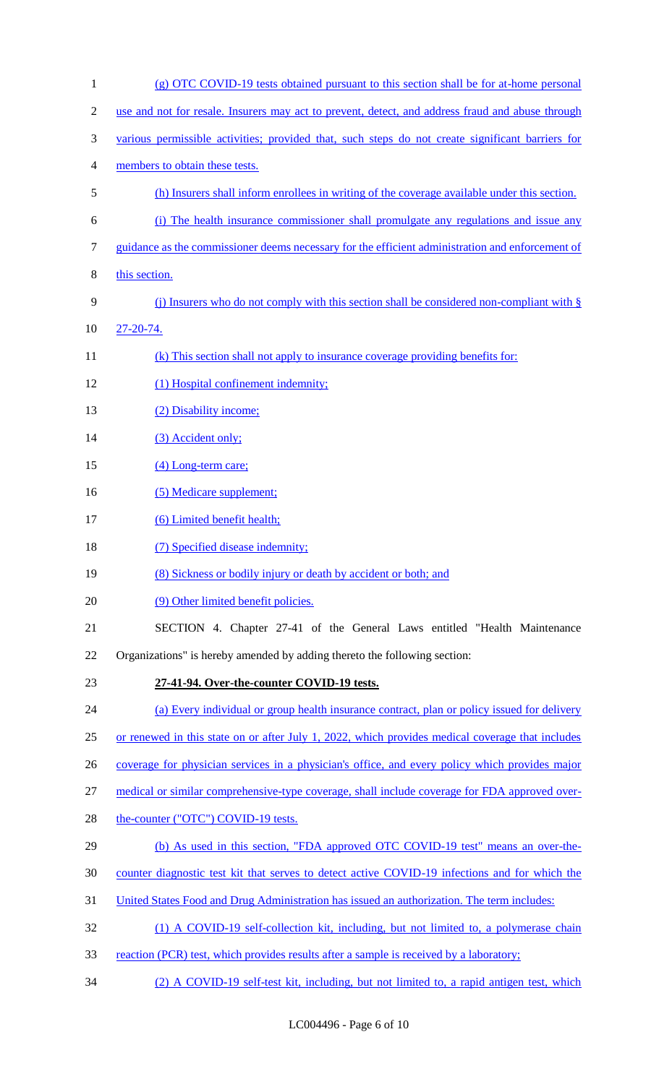(g) OTC COVID-19 tests obtained pursuant to this section shall be for at-home personal 2 use and not for resale. Insurers may act to prevent, detect, and address fraud and abuse through various permissible activities; provided that, such steps do not create significant barriers for members to obtain these tests. (h) Insurers shall inform enrollees in writing of the coverage available under this section. (i) The health insurance commissioner shall promulgate any regulations and issue any guidance as the commissioner deems necessary for the efficient administration and enforcement of this section. (j) Insurers who do not comply with this section shall be considered non-compliant with § 27-20-74. 11 (k) This section shall not apply to insurance coverage providing benefits for: (1) Hospital confinement indemnity; 13 (2) Disability income; 14 (3) Accident only; 15 (4) Long-term care; 16 (5) Medicare supplement; 17 (6) Limited benefit health; 18 (7) Specified disease indemnity; 19 (8) Sickness or bodily injury or death by accident or both; and 20 (9) Other limited benefit policies. SECTION 4. Chapter 27-41 of the General Laws entitled "Health Maintenance Organizations" is hereby amended by adding thereto the following section: **27-41-94. Over-the-counter COVID-19 tests.** (a) Every individual or group health insurance contract, plan or policy issued for delivery or renewed in this state on or after July 1, 2022, which provides medical coverage that includes coverage for physician services in a physician's office, and every policy which provides major medical or similar comprehensive-type coverage, shall include coverage for FDA approved over-28 the-counter ("OTC") COVID-19 tests. 29 (b) As used in this section, "FDA approved OTC COVID-19 test" means an over-the- counter diagnostic test kit that serves to detect active COVID-19 infections and for which the United States Food and Drug Administration has issued an authorization. The term includes: (1) A COVID-19 self-collection kit, including, but not limited to, a polymerase chain 33 reaction (PCR) test, which provides results after a sample is received by a laboratory; (2) A COVID-19 self-test kit, including, but not limited to, a rapid antigen test, which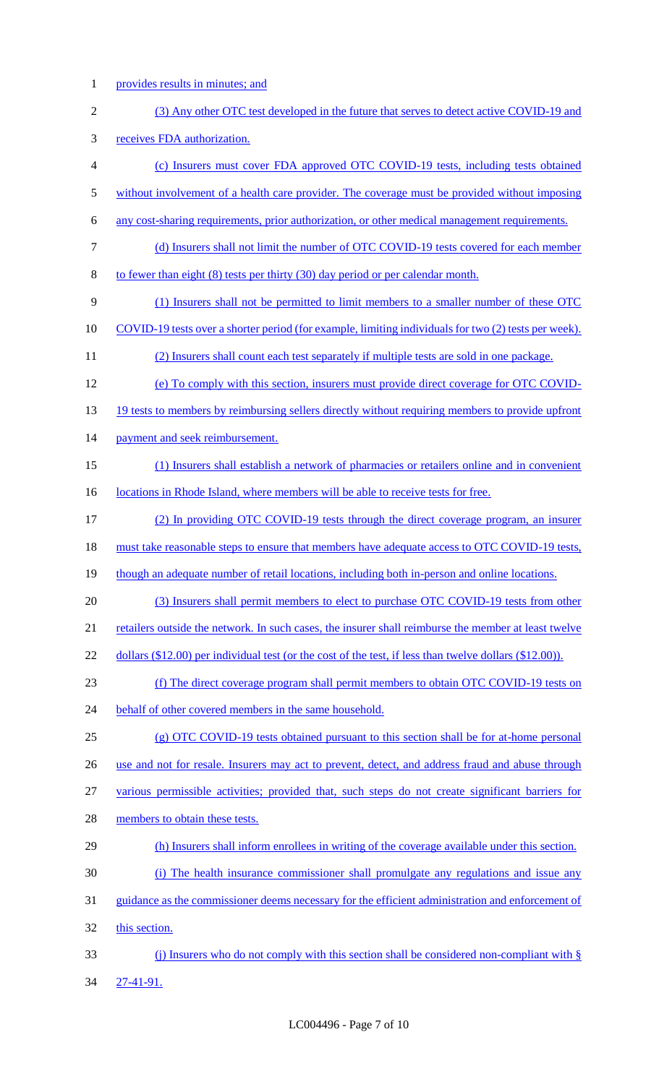1 provides results in minutes; and

| $\overline{2}$ | (3) Any other OTC test developed in the future that serves to detect active COVID-19 and                     |
|----------------|--------------------------------------------------------------------------------------------------------------|
| 3              | receives FDA authorization.                                                                                  |
| $\overline{4}$ | (c) Insurers must cover FDA approved OTC COVID-19 tests, including tests obtained                            |
| $\mathfrak{S}$ | without involvement of a health care provider. The coverage must be provided without imposing                |
| 6              | any cost-sharing requirements, prior authorization, or other medical management requirements.                |
| $\tau$         | (d) Insurers shall not limit the number of OTC COVID-19 tests covered for each member                        |
| $8\,$          | to fewer than eight (8) tests per thirty (30) day period or per calendar month.                              |
| 9              | (1) Insurers shall not be permitted to limit members to a smaller number of these OTC                        |
| 10             | COVID-19 tests over a shorter period (for example, limiting individuals for two (2) tests per week).         |
| 11             | (2) Insurers shall count each test separately if multiple tests are sold in one package.                     |
| 12             | (e) To comply with this section, insurers must provide direct coverage for OTC COVID-                        |
| 13             | 19 tests to members by reimbursing sellers directly without requiring members to provide upfront             |
| 14             | payment and seek reimbursement.                                                                              |
| 15             | (1) Insurers shall establish a network of pharmacies or retailers online and in convenient                   |
| 16             | locations in Rhode Island, where members will be able to receive tests for free.                             |
| 17             | (2) In providing OTC COVID-19 tests through the direct coverage program, an insurer                          |
| 18             | must take reasonable steps to ensure that members have adequate access to OTC COVID-19 tests,                |
| 19             | though an adequate number of retail locations, including both in-person and online locations.                |
| 20             | (3) Insurers shall permit members to elect to purchase OTC COVID-19 tests from other                         |
| 21             | retailers outside the network. In such cases, the insurer shall reimburse the member at least twelve         |
| 22             | dollars $(\$12.00)$ per individual test (or the cost of the test, if less than twelve dollars $(\$12.00)$ ). |
| 23             | (f) The direct coverage program shall permit members to obtain OTC COVID-19 tests on                         |
| 24             | behalf of other covered members in the same household.                                                       |
| 25             | $(g)$ OTC COVID-19 tests obtained pursuant to this section shall be for at-home personal                     |
| 26             | use and not for resale. Insurers may act to prevent, detect, and address fraud and abuse through             |
| 27             | various permissible activities; provided that, such steps do not create significant barriers for             |
| 28             | members to obtain these tests.                                                                               |
| 29             | (h) Insurers shall inform enrollees in writing of the coverage available under this section.                 |
| 30             | (i) The health insurance commissioner shall promulgate any regulations and issue any                         |
| 31             | guidance as the commissioner deems necessary for the efficient administration and enforcement of             |
| 32             | this section.                                                                                                |
| 33             | (i) Insurers who do not comply with this section shall be considered non-compliant with $\S$                 |
| 34             | $27-41-91.$                                                                                                  |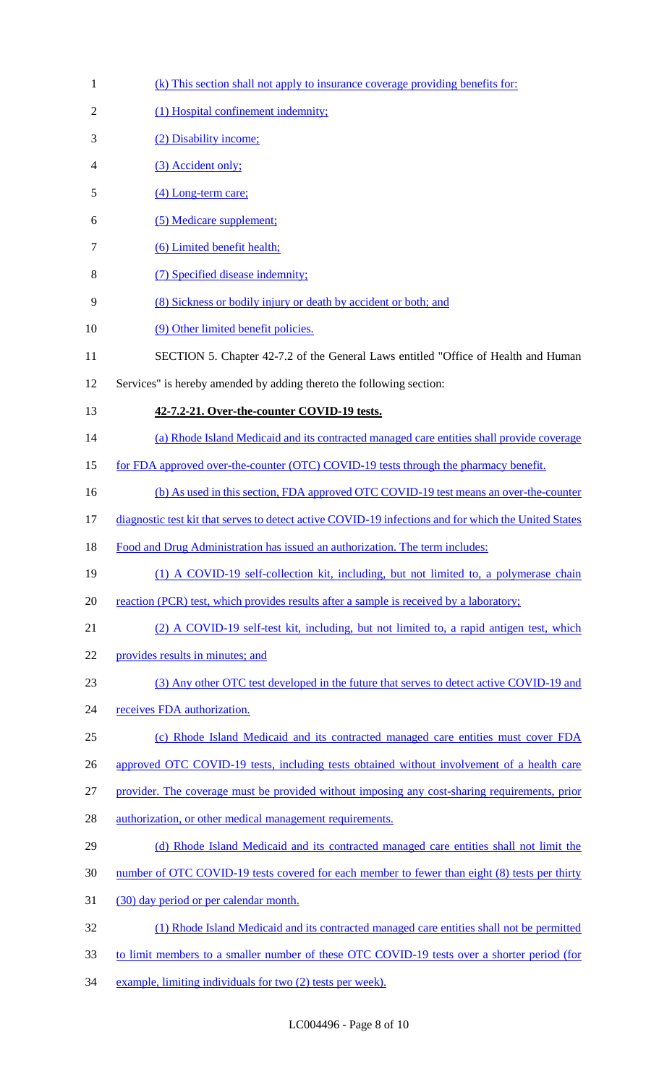| $\mathbf{1}$   | (k) This section shall not apply to insurance coverage providing benefits for:                       |
|----------------|------------------------------------------------------------------------------------------------------|
| $\mathfrak{2}$ | (1) Hospital confinement indemnity;                                                                  |
| 3              | (2) Disability income:                                                                               |
| 4              | (3) Accident only;                                                                                   |
| 5              | (4) Long-term care;                                                                                  |
| 6              | (5) Medicare supplement;                                                                             |
| $\tau$         | (6) Limited benefit health;                                                                          |
| 8              | (7) Specified disease indemnity;                                                                     |
| 9              | (8) Sickness or bodily injury or death by accident or both; and                                      |
| 10             | (9) Other limited benefit policies.                                                                  |
| 11             | SECTION 5. Chapter 42-7.2 of the General Laws entitled "Office of Health and Human                   |
| 12             | Services" is hereby amended by adding thereto the following section:                                 |
| 13             | 42-7.2-21. Over-the-counter COVID-19 tests.                                                          |
| 14             | (a) Rhode Island Medicaid and its contracted managed care entities shall provide coverage            |
| 15             | for FDA approved over-the-counter (OTC) COVID-19 tests through the pharmacy benefit.                 |
| 16             | (b) As used in this section, FDA approved OTC COVID-19 test means an over-the-counter                |
| 17             | diagnostic test kit that serves to detect active COVID-19 infections and for which the United States |
| 18             | Food and Drug Administration has issued an authorization. The term includes:                         |
| 19             | (1) A COVID-19 self-collection kit, including, but not limited to, a polymerase chain                |
| 20             | reaction (PCR) test, which provides results after a sample is received by a laboratory;              |
| 21             | (2) A COVID-19 self-test kit, including, but not limited to, a rapid antigen test, which             |
| 22             | provides results in minutes; and                                                                     |
| 23             | (3) Any other OTC test developed in the future that serves to detect active COVID-19 and             |
| 24             | receives FDA authorization.                                                                          |
| 25             | (c) Rhode Island Medicaid and its contracted managed care entities must cover FDA                    |
| 26             | approved OTC COVID-19 tests, including tests obtained without involvement of a health care           |
| 27             | provider. The coverage must be provided without imposing any cost-sharing requirements, prior        |
| 28             | authorization, or other medical management requirements.                                             |
| 29             | (d) Rhode Island Medicaid and its contracted managed care entities shall not limit the               |
| 30             | number of OTC COVID-19 tests covered for each member to fewer than eight (8) tests per thirty        |
| 31             | (30) day period or per calendar month.                                                               |
| 32             | (1) Rhode Island Medicaid and its contracted managed care entities shall not be permitted            |
| 33             | to limit members to a smaller number of these OTC COVID-19 tests over a shorter period (for          |
| 34             | example, limiting individuals for two (2) tests per week).                                           |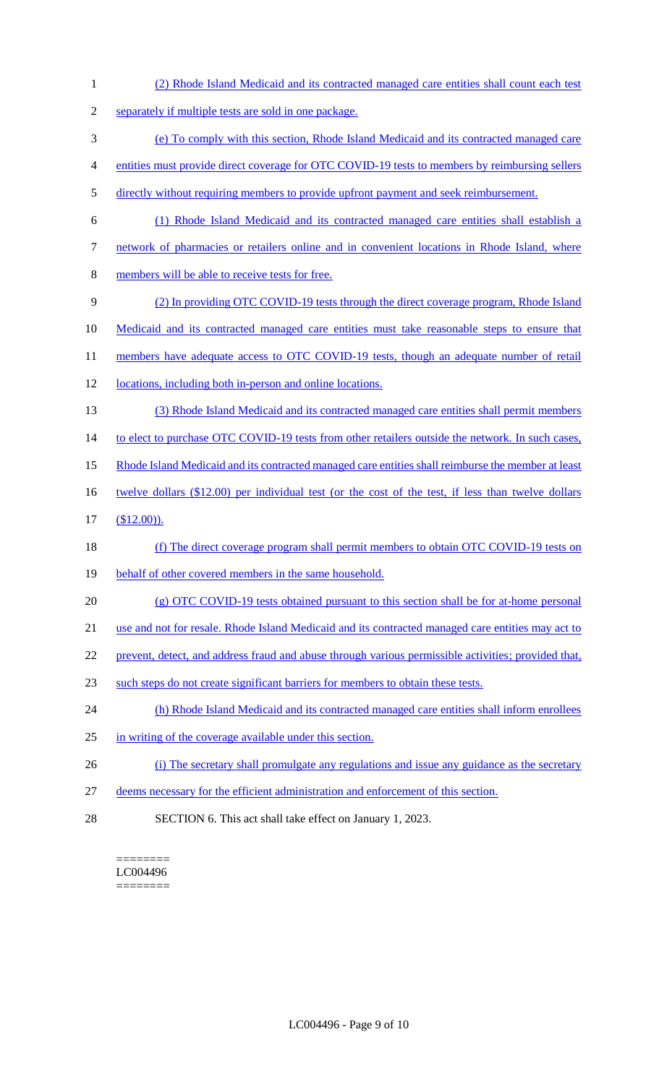- 1 (2) Rhode Island Medicaid and its contracted managed care entities shall count each test 2 separately if multiple tests are sold in one package. 3 (e) To comply with this section, Rhode Island Medicaid and its contracted managed care 4 entities must provide direct coverage for OTC COVID-19 tests to members by reimbursing sellers 5 directly without requiring members to provide upfront payment and seek reimbursement. 6 (1) Rhode Island Medicaid and its contracted managed care entities shall establish a 7 network of pharmacies or retailers online and in convenient locations in Rhode Island, where 8 members will be able to receive tests for free. 9 (2) In providing OTC COVID-19 tests through the direct coverage program, Rhode Island 10 Medicaid and its contracted managed care entities must take reasonable steps to ensure that 11 members have adequate access to OTC COVID-19 tests, though an adequate number of retail 12 locations, including both in-person and online locations. 13 (3) Rhode Island Medicaid and its contracted managed care entities shall permit members 14 to elect to purchase OTC COVID-19 tests from other retailers outside the network. In such cases, 15 Rhode Island Medicaid and its contracted managed care entities shall reimburse the member at least 16 twelve dollars (\$12.00) per individual test (or the cost of the test, if less than twelve dollars 17 (\$12.00)). 18 (f) The direct coverage program shall permit members to obtain OTC COVID-19 tests on 19 behalf of other covered members in the same household. 20 (g) OTC COVID-19 tests obtained pursuant to this section shall be for at-home personal 21 use and not for resale. Rhode Island Medicaid and its contracted managed care entities may act to 22 prevent, detect, and address fraud and abuse through various permissible activities; provided that, 23 such steps do not create significant barriers for members to obtain these tests. 24 (h) Rhode Island Medicaid and its contracted managed care entities shall inform enrollees 25 in writing of the coverage available under this section. 26 (i) The secretary shall promulgate any regulations and issue any guidance as the secretary 27 deems necessary for the efficient administration and enforcement of this section.
- 28 SECTION 6. This act shall take effect on January 1, 2023.

======== LC004496 ========